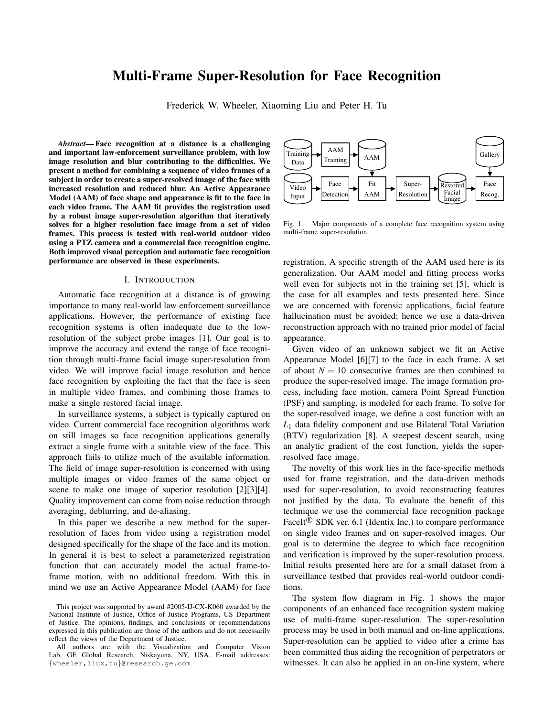# Multi-Frame Super-Resolution for Face Recognition

Frederick W. Wheeler, Xiaoming Liu and Peter H. Tu

*Abstract*— Face recognition at a distance is a challenging and important law-enforcement surveillance problem, with low image resolution and blur contributing to the difficulties. We present a method for combining a sequence of video frames of a subject in order to create a super-resolved image of the face with increased resolution and reduced blur. An Active Appearance Model (AAM) of face shape and appearance is fit to the face in each video frame. The AAM fit provides the registration used by a robust image super-resolution algorithm that iteratively solves for a higher resolution face image from a set of video frames. This process is tested with real-world outdoor video using a PTZ camera and a commercial face recognition engine. Both improved visual perception and automatic face recognition performance are observed in these experiments.

# I. INTRODUCTION

Automatic face recognition at a distance is of growing importance to many real-world law enforcement surveillance applications. However, the performance of existing face recognition systems is often inadequate due to the lowresolution of the subject probe images [1]. Our goal is to improve the accuracy and extend the range of face recognition through multi-frame facial image super-resolution from video. We will improve facial image resolution and hence face recognition by exploiting the fact that the face is seen in multiple video frames, and combining those frames to make a single restored facial image.

In surveillance systems, a subject is typically captured on video. Current commercial face recognition algorithms work on still images so face recognition applications generally extract a single frame with a suitable view of the face. This approach fails to utilize much of the available information. The field of image super-resolution is concerned with using multiple images or video frames of the same object or scene to make one image of superior resolution [2][3][4]. Quality improvement can come from noise reduction through averaging, deblurring, and de-aliasing.

In this paper we describe a new method for the superresolution of faces from video using a registration model designed specifically for the shape of the face and its motion. In general it is best to select a parameterized registration function that can accurately model the actual frame-toframe motion, with no additional freedom. With this in mind we use an Active Appearance Model (AAM) for face



Fig. 1. Major components of a complete face recognition system using multi-frame super-resolution.

registration. A specific strength of the AAM used here is its generalization. Our AAM model and fitting process works well even for subjects not in the training set [5], which is the case for all examples and tests presented here. Since we are concerned with forensic applications, facial feature hallucination must be avoided; hence we use a data-driven reconstruction approach with no trained prior model of facial appearance.

Given video of an unknown subject we fit an Active Appearance Model [6][7] to the face in each frame. A set of about  $N = 10$  consecutive frames are then combined to produce the super-resolved image. The image formation process, including face motion, camera Point Spread Function (PSF) and sampling, is modeled for each frame. To solve for the super-resolved image, we define a cost function with an *L*<sup>1</sup> data fidelity component and use Bilateral Total Variation (BTV) regularization [8]. A steepest descent search, using an analytic gradient of the cost function, yields the superresolved face image.

The novelty of this work lies in the face-specific methods used for frame registration, and the data-driven methods used for super-resolution, to avoid reconstructing features not justified by the data. To evaluate the benefit of this technique we use the commercial face recognition package FaceIt<sup>®</sup> SDK ver. 6.1 (Identix Inc.) to compare performance on single video frames and on super-resolved images. Our goal is to determine the degree to which face recognition and verification is improved by the super-resolution process. Initial results presented here are for a small dataset from a surveillance testbed that provides real-world outdoor conditions.

The system flow diagram in Fig. 1 shows the major components of an enhanced face recognition system making use of multi-frame super-resolution. The super-resolution process may be used in both manual and on-line applications. Super-resolution can be applied to video after a crime has been committed thus aiding the recognition of perpetrators or witnesses. It can also be applied in an on-line system, where

This project was supported by award #2005-IJ-CX-K060 awarded by the National Institute of Justice, Office of Justice Programs, US Department of Justice. The opinions, findings, and conclusions or recommendations expressed in this publication are those of the authors and do not necessarily reflect the views of the Department of Justice.

All authors are with the Visualization and Computer Vision Lab, GE Global Research, Niskayuna, NY, USA. E-mail addresses: {wheeler,liux,tu}@research.ge.com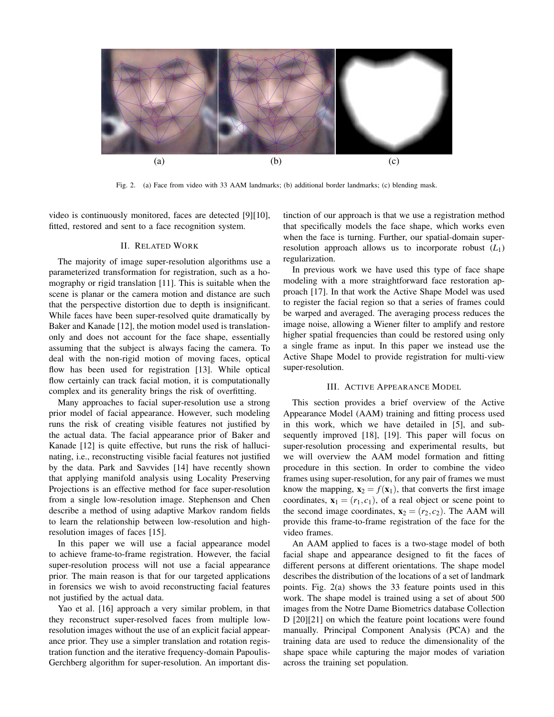

Fig. 2. (a) Face from video with 33 AAM landmarks; (b) additional border landmarks; (c) blending mask.

video is continuously monitored, faces are detected [9][10], fitted, restored and sent to a face recognition system.

# II. RELATED WORK

The majority of image super-resolution algorithms use a parameterized transformation for registration, such as a homography or rigid translation [11]. This is suitable when the scene is planar or the camera motion and distance are such that the perspective distortion due to depth is insignificant. While faces have been super-resolved quite dramatically by Baker and Kanade [12], the motion model used is translationonly and does not account for the face shape, essentially assuming that the subject is always facing the camera. To deal with the non-rigid motion of moving faces, optical flow has been used for registration [13]. While optical flow certainly can track facial motion, it is computationally complex and its generality brings the risk of overfitting.

Many approaches to facial super-resolution use a strong prior model of facial appearance. However, such modeling runs the risk of creating visible features not justified by the actual data. The facial appearance prior of Baker and Kanade [12] is quite effective, but runs the risk of hallucinating, i.e., reconstructing visible facial features not justified by the data. Park and Savvides [14] have recently shown that applying manifold analysis using Locality Preserving Projections is an effective method for face super-resolution from a single low-resolution image. Stephenson and Chen describe a method of using adaptive Markov random fields to learn the relationship between low-resolution and highresolution images of faces [15].

In this paper we will use a facial appearance model to achieve frame-to-frame registration. However, the facial super-resolution process will not use a facial appearance prior. The main reason is that for our targeted applications in forensics we wish to avoid reconstructing facial features not justified by the actual data.

Yao et al. [16] approach a very similar problem, in that they reconstruct super-resolved faces from multiple lowresolution images without the use of an explicit facial appearance prior. They use a simpler translation and rotation registration function and the iterative frequency-domain Papoulis-Gerchberg algorithm for super-resolution. An important distinction of our approach is that we use a registration method that specifically models the face shape, which works even when the face is turning. Further, our spatial-domain superresolution approach allows us to incorporate robust  $(L_1)$ regularization.

In previous work we have used this type of face shape modeling with a more straightforward face restoration approach [17]. In that work the Active Shape Model was used to register the facial region so that a series of frames could be warped and averaged. The averaging process reduces the image noise, allowing a Wiener filter to amplify and restore higher spatial frequencies than could be restored using only a single frame as input. In this paper we instead use the Active Shape Model to provide registration for multi-view super-resolution.

## III. ACTIVE APPEARANCE MODEL

This section provides a brief overview of the Active Appearance Model (AAM) training and fitting process used in this work, which we have detailed in [5], and subsequently improved [18], [19]. This paper will focus on super-resolution processing and experimental results, but we will overview the AAM model formation and fitting procedure in this section. In order to combine the video frames using super-resolution, for any pair of frames we must know the mapping,  $\mathbf{x}_2 = f(\mathbf{x}_1)$ , that converts the first image coordinates,  $\mathbf{x}_1 = (r_1, c_1)$ , of a real object or scene point to the second image coordinates,  $\mathbf{x}_2 = (r_2, c_2)$ . The AAM will provide this frame-to-frame registration of the face for the video frames.

An AAM applied to faces is a two-stage model of both facial shape and appearance designed to fit the faces of different persons at different orientations. The shape model describes the distribution of the locations of a set of landmark points. Fig. 2(a) shows the 33 feature points used in this work. The shape model is trained using a set of about 500 images from the Notre Dame Biometrics database Collection D [20][21] on which the feature point locations were found manually. Principal Component Analysis (PCA) and the training data are used to reduce the dimensionality of the shape space while capturing the major modes of variation across the training set population.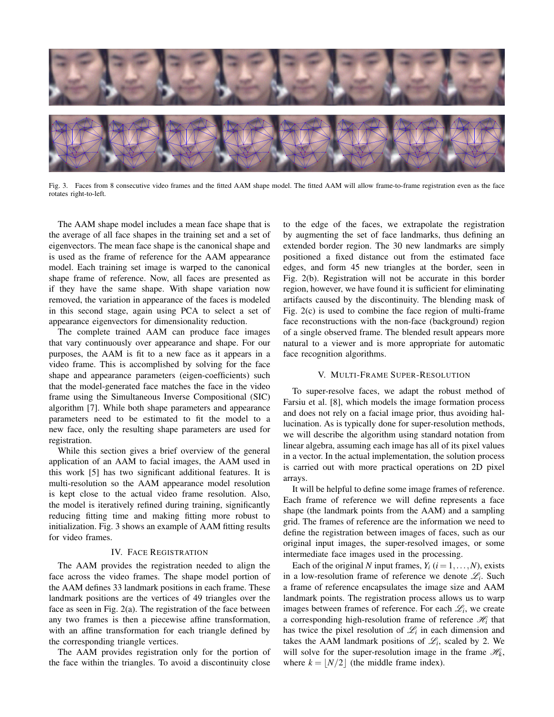

Fig. 3. Faces from 8 consecutive video frames and the fitted AAM shape model. The fitted AAM will allow frame-to-frame registration even as the face rotates right-to-left.

The AAM shape model includes a mean face shape that is the average of all face shapes in the training set and a set of eigenvectors. The mean face shape is the canonical shape and is used as the frame of reference for the AAM appearance model. Each training set image is warped to the canonical shape frame of reference. Now, all faces are presented as if they have the same shape. With shape variation now removed, the variation in appearance of the faces is modeled in this second stage, again using PCA to select a set of appearance eigenvectors for dimensionality reduction.

The complete trained AAM can produce face images that vary continuously over appearance and shape. For our purposes, the AAM is fit to a new face as it appears in a video frame. This is accomplished by solving for the face shape and appearance parameters (eigen-coefficients) such that the model-generated face matches the face in the video frame using the Simultaneous Inverse Compositional (SIC) algorithm [7]. While both shape parameters and appearance parameters need to be estimated to fit the model to a new face, only the resulting shape parameters are used for registration.

While this section gives a brief overview of the general application of an AAM to facial images, the AAM used in this work [5] has two significant additional features. It is multi-resolution so the AAM appearance model resolution is kept close to the actual video frame resolution. Also, the model is iteratively refined during training, significantly reducing fitting time and making fitting more robust to initialization. Fig. 3 shows an example of AAM fitting results for video frames.

# IV. FACE REGISTRATION

The AAM provides the registration needed to align the face across the video frames. The shape model portion of the AAM defines 33 landmark positions in each frame. These landmark positions are the vertices of 49 triangles over the face as seen in Fig. 2(a). The registration of the face between any two frames is then a piecewise affine transformation, with an affine transformation for each triangle defined by the corresponding triangle vertices.

The AAM provides registration only for the portion of the face within the triangles. To avoid a discontinuity close to the edge of the faces, we extrapolate the registration by augmenting the set of face landmarks, thus defining an extended border region. The 30 new landmarks are simply positioned a fixed distance out from the estimated face edges, and form 45 new triangles at the border, seen in Fig. 2(b). Registration will not be accurate in this border region, however, we have found it is sufficient for eliminating artifacts caused by the discontinuity. The blending mask of Fig. 2(c) is used to combine the face region of multi-frame face reconstructions with the non-face (background) region of a single observed frame. The blended result appears more natural to a viewer and is more appropriate for automatic face recognition algorithms.

## V. MULTI-FRAME SUPER-RESOLUTION

To super-resolve faces, we adapt the robust method of Farsiu et al. [8], which models the image formation process and does not rely on a facial image prior, thus avoiding hallucination. As is typically done for super-resolution methods, we will describe the algorithm using standard notation from linear algebra, assuming each image has all of its pixel values in a vector. In the actual implementation, the solution process is carried out with more practical operations on 2D pixel arrays.

It will be helpful to define some image frames of reference. Each frame of reference we will define represents a face shape (the landmark points from the AAM) and a sampling grid. The frames of reference are the information we need to define the registration between images of faces, such as our original input images, the super-resolved images, or some intermediate face images used in the processing.

Each of the original *N* input frames,  $Y_i$  ( $i = 1, \ldots, N$ ), exists in a low-resolution frame of reference we denote  $\mathcal{L}_i$ . Such a frame of reference encapsulates the image size and AAM landmark points. The registration process allows us to warp images between frames of reference. For each  $\mathcal{L}_i$ , we create a corresponding high-resolution frame of reference  $\mathcal{H}_i$  that has twice the pixel resolution of  $\mathcal{L}_i$  in each dimension and takes the AAM landmark positions of  $\mathcal{L}_i$ , scaled by 2. We will solve for the super-resolution image in the frame  $\mathcal{H}_k$ , where  $k = |N/2|$  (the middle frame index).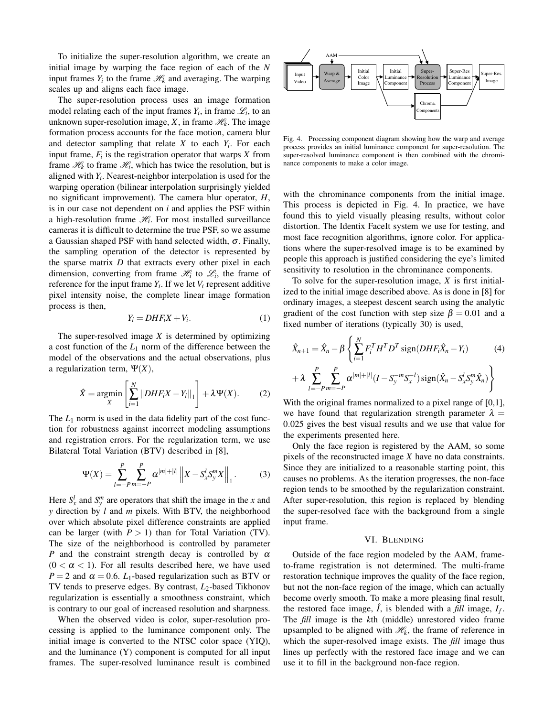To initialize the super-resolution algorithm, we create an initial image by warping the face region of each of the *N* input frames  $Y_i$  to the frame  $\mathcal{H}_k$  and averaging. The warping scales up and aligns each face image.

The super-resolution process uses an image formation model relating each of the input frames  $Y_i$ , in frame  $\mathcal{L}_i$ , to an unknown super-resolution image,  $X$ , in frame  $\mathcal{H}_k$ . The image formation process accounts for the face motion, camera blur and detector sampling that relate  $X$  to each  $Y_i$ . For each input frame,  $F_i$  is the registration operator that warps  $X$  from frame  $\mathcal{H}_k$  to frame  $\mathcal{H}_i$ , which has twice the resolution, but is aligned with *Y<sup>i</sup>* . Nearest-neighbor interpolation is used for the warping operation (bilinear interpolation surprisingly yielded no significant improvement). The camera blur operator, *H*, is in our case not dependent on *i* and applies the PSF within a high-resolution frame  $\mathcal{H}_i$ . For most installed surveillance cameras it is difficult to determine the true PSF, so we assume a Gaussian shaped PSF with hand selected width, σ. Finally, the sampling operation of the detector is represented by the sparse matrix *D* that extracts every other pixel in each dimension, converting from frame  $\mathcal{H}_i$  to  $\mathcal{L}_i$ , the frame of reference for the input frame  $Y_i$ . If we let  $V_i$  represent additive pixel intensity noise, the complete linear image formation process is then,

$$
Y_i = DHF_i X + V_i. \tag{1}
$$

The super-resolved image *X* is determined by optimizing a cost function of the *L*<sup>1</sup> norm of the difference between the model of the observations and the actual observations, plus a regularization term,  $\Psi(X)$ ,

$$
\hat{X} = \underset{X}{\text{argmin}} \left[ \sum_{i=1}^{N} \left\| DHF_{i}X - Y_{i} \right\|_{1} \right] + \lambda \Psi(X). \tag{2}
$$

The  $L_1$  norm is used in the data fidelity part of the cost function for robustness against incorrect modeling assumptions and registration errors. For the regularization term, we use Bilateral Total Variation (BTV) described in [8],

$$
\Psi(X) = \sum_{l=-P}^{P} \sum_{m=-P}^{P} \alpha^{|m|+|l|} \left\| X - S_x^l S_y^m X \right\|_1.
$$
 (3)

Here  $S_x^l$  and  $S_y^m$  are operators that shift the image in the *x* and *y* direction by *l* and *m* pixels. With BTV, the neighborhood over which absolute pixel difference constraints are applied can be larger (with  $P > 1$ ) than for Total Variation (TV). The size of the neighborhood is controlled by parameter *P* and the constraint strength decay is controlled by  $\alpha$  $(0 < \alpha < 1)$ . For all results described here, we have used  $P = 2$  and  $\alpha = 0.6$ . *L*<sub>1</sub>-based regularization such as BTV or TV tends to preserve edges. By contrast, *L*2-based Tikhonov regularization is essentially a smoothness constraint, which is contrary to our goal of increased resolution and sharpness.

When the observed video is color, super-resolution processing is applied to the luminance component only. The initial image is converted to the NTSC color space (YIQ), and the luminance (Y) component is computed for all input frames. The super-resolved luminance result is combined



Fig. 4. Processing component diagram showing how the warp and average process provides an initial luminance component for super-resolution. The super-resolved luminance component is then combined with the chrominance components to make a color image.

with the chrominance components from the initial image. This process is depicted in Fig. 4. In practice, we have found this to yield visually pleasing results, without color distortion. The Identix FaceIt system we use for testing, and most face recognition algorithms, ignore color. For applications where the super-resolved image is to be examined by people this approach is justified considering the eye's limited sensitivity to resolution in the chrominance components.

To solve for the super-resolution image, *X* is first initialized to the initial image described above. As is done in [8] for ordinary images, a steepest descent search using the analytic gradient of the cost function with step size  $\beta = 0.01$  and a fixed number of iterations (typically 30) is used,

$$
\hat{X}_{n+1} = \hat{X}_n - \beta \left\{ \sum_{i=1}^N F_i^T H^T D^T \text{sign}(DHF_i \hat{X}_n - Y_i) \right\} + \lambda \sum_{l=-P}^P \sum_{m=-P}^P \alpha^{|m|+|l|} (I - S_y^{-m} S_x^{-l}) \text{sign}(\hat{X}_n - S_x^l S_y^m \hat{X}_n) \right\}
$$
(4)

With the original frames normalized to a pixel range of [0,1], we have found that regularization strength parameter  $\lambda =$ 0.025 gives the best visual results and we use that value for the experiments presented here.

Only the face region is registered by the AAM, so some pixels of the reconstructed image *X* have no data constraints. Since they are initialized to a reasonable starting point, this causes no problems. As the iteration progresses, the non-face region tends to be smoothed by the regularization constraint. After super-resolution, this region is replaced by blending the super-resolved face with the background from a single input frame.

#### VI. BLENDING

Outside of the face region modeled by the AAM, frameto-frame registration is not determined. The multi-frame restoration technique improves the quality of the face region, but not the non-face region of the image, which can actually become overly smooth. To make a more pleasing final result, the restored face image,  $\hat{I}$ , is blended with a *fill* image,  $I_f$ . The *fill* image is the *k*th (middle) unrestored video frame upsampled to be aligned with  $\mathcal{H}_k$ , the frame of reference in which the super-resolved image exists. The *fill* image thus lines up perfectly with the restored face image and we can use it to fill in the background non-face region.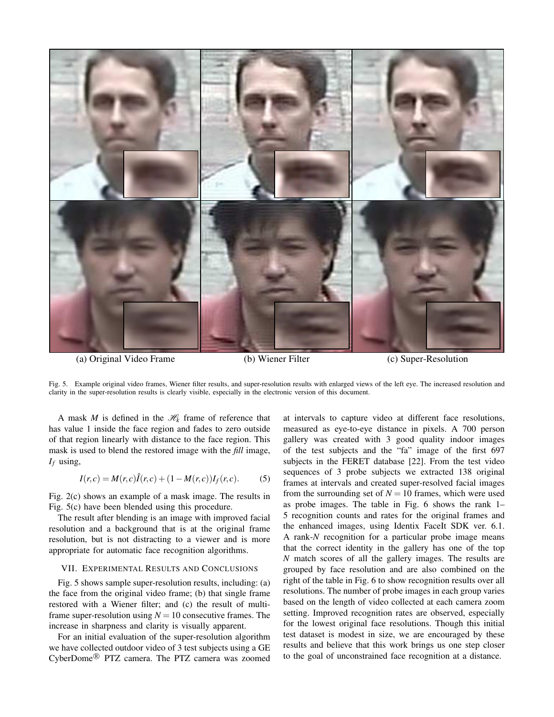

Fig. 5. Example original video frames, Wiener filter results, and super-resolution results with enlarged views of the left eye. The increased resolution and clarity in the super-resolution results is clearly visible, especially in the electronic version of this document.

A mask *M* is defined in the  $\mathcal{H}_k$  frame of reference that has value 1 inside the face region and fades to zero outside of that region linearly with distance to the face region. This mask is used to blend the restored image with the *fill* image,  $I_f$  using,

$$
I(r,c) = M(r,c)\hat{I}(r,c) + (1 - M(r,c))I_f(r,c).
$$
 (5)

Fig. 2(c) shows an example of a mask image. The results in Fig. 5(c) have been blended using this procedure.

The result after blending is an image with improved facial resolution and a background that is at the original frame resolution, but is not distracting to a viewer and is more appropriate for automatic face recognition algorithms.

# VII. EXPERIMENTAL RESULTS AND CONCLUSIONS

Fig. 5 shows sample super-resolution results, including: (a) the face from the original video frame; (b) that single frame restored with a Wiener filter; and (c) the result of multiframe super-resolution using  $N = 10$  consecutive frames. The increase in sharpness and clarity is visually apparent.

For an initial evaluation of the super-resolution algorithm we have collected outdoor video of 3 test subjects using a GE CyberDome <sup>R</sup> PTZ camera. The PTZ camera was zoomed at intervals to capture video at different face resolutions, measured as eye-to-eye distance in pixels. A 700 person gallery was created with 3 good quality indoor images of the test subjects and the "fa" image of the first 697 subjects in the FERET database [22]. From the test video sequences of 3 probe subjects we extracted 138 original frames at intervals and created super-resolved facial images from the surrounding set of  $N = 10$  frames, which were used as probe images. The table in Fig. 6 shows the rank 1– 5 recognition counts and rates for the original frames and the enhanced images, using Identix FaceIt SDK ver. 6.1. A rank-*N* recognition for a particular probe image means that the correct identity in the gallery has one of the top *N* match scores of all the gallery images. The results are grouped by face resolution and are also combined on the right of the table in Fig. 6 to show recognition results over all resolutions. The number of probe images in each group varies based on the length of video collected at each camera zoom setting. Improved recognition rates are observed, especially for the lowest original face resolutions. Though this initial test dataset is modest in size, we are encouraged by these results and believe that this work brings us one step closer to the goal of unconstrained face recognition at a distance.